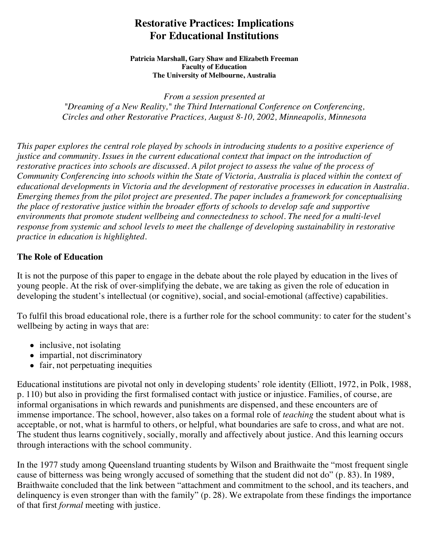# **Restorative Practices: Implications For Educational Institutions**

**Patricia Marshall, Gary Shaw and Elizabeth Freeman Faculty of Education The University of Melbourne, Australia**

*From a session presented at "Dreaming of a New Reality," the Third International Conference on Conferencing, Circles and other Restorative Practices, August 8-10, 2002, Minneapolis, Minnesota*

*This paper explores the central role played by schools in introducing students to a positive experience of justice and community. Issues in the current educational context that impact on the introduction of restorative practices into schools are discussed. A pilot project to assess the value of the process of Community Conferencing into schools within the State of Victoria, Australia is placed within the context of educational developments in Victoria and the development of restorative processes in education in Australia. Emerging themes from the pilot project are presented. The paper includes a framework for conceptualising the place of restorative justice within the broader efforts of schools to develop safe and supportive environments that promote student wellbeing and connectedness to school. The need for a multi-level response from systemic and school levels to meet the challenge of developing sustainability in restorative practice in education is highlighted.*

#### **The Role of Education**

It is not the purpose of this paper to engage in the debate about the role played by education in the lives of young people. At the risk of over-simplifying the debate, we are taking as given the role of education in developing the student's intellectual (or cognitive), social, and social-emotional (affective) capabilities.

To fulfil this broad educational role, there is a further role for the school community: to cater for the student's wellbeing by acting in ways that are:

- inclusive, not isolating
- impartial, not discriminatory
- fair, not perpetuating inequities

Educational institutions are pivotal not only in developing students' role identity (Elliott, 1972, in Polk, 1988, p. 110) but also in providing the first formalised contact with justice or injustice. Families, of course, are informal organisations in which rewards and punishments are dispensed, and these encounters are of immense importance. The school, however, also takes on a formal role of *teaching* the student about what is acceptable, or not, what is harmful to others, or helpful, what boundaries are safe to cross, and what are not. The student thus learns cognitively, socially, morally and affectively about justice. And this learning occurs through interactions with the school community.

In the 1977 study among Queensland truanting students by Wilson and Braithwaite the "most frequent single cause of bitterness was being wrongly accused of something that the student did not do" (p. 83). In 1989, Braithwaite concluded that the link between "attachment and commitment to the school, and its teachers, and delinquency is even stronger than with the family" (p. 28). We extrapolate from these findings the importance of that first *formal* meeting with justice.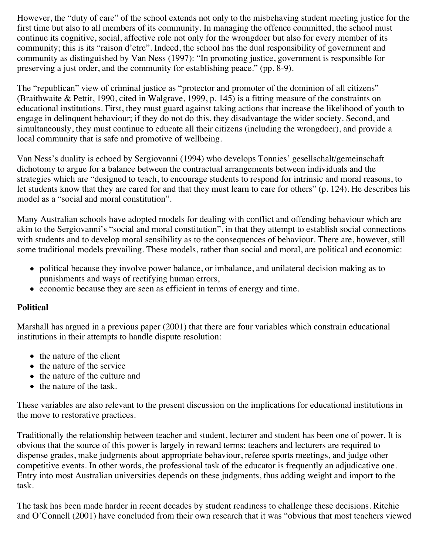However, the "duty of care" of the school extends not only to the misbehaving student meeting justice for the first time but also to all members of its community. In managing the offence committed, the school must continue its cognitive, social, affective role not only for the wrongdoer but also for every member of its community; this is its "raison d'etre". Indeed, the school has the dual responsibility of government and community as distinguished by Van Ness (1997): "In promoting justice, government is responsible for preserving a just order, and the community for establishing peace." (pp. 8-9).

The "republican" view of criminal justice as "protector and promoter of the dominion of all citizens" (Braithwaite & Pettit, 1990, cited in Walgrave, 1999, p. 145) is a fitting measure of the constraints on educational institutions. First, they must guard against taking actions that increase the likelihood of youth to engage in delinquent behaviour; if they do not do this, they disadvantage the wider society. Second, and simultaneously, they must continue to educate all their citizens (including the wrongdoer), and provide a local community that is safe and promotive of wellbeing.

Van Ness's duality is echoed by Sergiovanni (1994) who develops Tonnies' gesellschalt/gemeinschaft dichotomy to argue for a balance between the contractual arrangements between individuals and the strategies which are "designed to teach, to encourage students to respond for intrinsic and moral reasons, to let students know that they are cared for and that they must learn to care for others" (p. 124). He describes his model as a "social and moral constitution".

Many Australian schools have adopted models for dealing with conflict and offending behaviour which are akin to the Sergiovanni's "social and moral constitution", in that they attempt to establish social connections with students and to develop moral sensibility as to the consequences of behaviour. There are, however, still some traditional models prevailing. These models, rather than social and moral, are political and economic:

- political because they involve power balance, or imbalance, and unilateral decision making as to punishments and ways of rectifying human errors,
- economic because they are seen as efficient in terms of energy and time.

### **Political**

Marshall has argued in a previous paper (2001) that there are four variables which constrain educational institutions in their attempts to handle dispute resolution:

- $\bullet$  the nature of the client
- $\bullet$  the nature of the service
- the nature of the culture and
- the nature of the task.

These variables are also relevant to the present discussion on the implications for educational institutions in the move to restorative practices.

Traditionally the relationship between teacher and student, lecturer and student has been one of power. It is obvious that the source of this power is largely in reward terms; teachers and lecturers are required to dispense grades, make judgments about appropriate behaviour, referee sports meetings, and judge other competitive events. In other words, the professional task of the educator is frequently an adjudicative one. Entry into most Australian universities depends on these judgments, thus adding weight and import to the task.

The task has been made harder in recent decades by student readiness to challenge these decisions. Ritchie and O'Connell (2001) have concluded from their own research that it was "obvious that most teachers viewed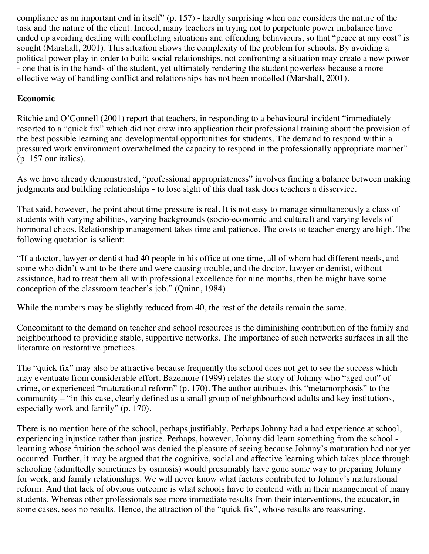compliance as an important end in itself" (p. 157) - hardly surprising when one considers the nature of the task and the nature of the client. Indeed, many teachers in trying not to perpetuate power imbalance have ended up avoiding dealing with conflicting situations and offending behaviours, so that "peace at any cost" is sought (Marshall, 2001). This situation shows the complexity of the problem for schools. By avoiding a political power play in order to build social relationships, not confronting a situation may create a new power - one that is in the hands of the student, yet ultimately rendering the student powerless because a more effective way of handling conflict and relationships has not been modelled (Marshall, 2001).

## **Economic**

Ritchie and O'Connell (2001) report that teachers, in responding to a behavioural incident "immediately resorted to a "quick fix" which did not draw into application their professional training about the provision of the best possible learning and developmental opportunities for students. The demand to respond within a pressured work environment overwhelmed the capacity to respond in the professionally appropriate manner" (p. 157 our italics).

As we have already demonstrated, "professional appropriateness" involves finding a balance between making judgments and building relationships - to lose sight of this dual task does teachers a disservice.

That said, however, the point about time pressure is real. It is not easy to manage simultaneously a class of students with varying abilities, varying backgrounds (socio-economic and cultural) and varying levels of hormonal chaos. Relationship management takes time and patience. The costs to teacher energy are high. The following quotation is salient:

"If a doctor, lawyer or dentist had 40 people in his office at one time, all of whom had different needs, and some who didn't want to be there and were causing trouble, and the doctor, lawyer or dentist, without assistance, had to treat them all with professional excellence for nine months, then he might have some conception of the classroom teacher's job." (Quinn, 1984)

While the numbers may be slightly reduced from 40, the rest of the details remain the same.

Concomitant to the demand on teacher and school resources is the diminishing contribution of the family and neighbourhood to providing stable, supportive networks. The importance of such networks surfaces in all the literature on restorative practices.

The "quick fix" may also be attractive because frequently the school does not get to see the success which may eventuate from considerable effort. Bazemore (1999) relates the story of Johnny who "aged out" of crime, or experienced "maturational reform" (p. 170). The author attributes this "metamorphosis" to the community – "in this case, clearly defined as a small group of neighbourhood adults and key institutions, especially work and family" (p. 170).

There is no mention here of the school, perhaps justifiably. Perhaps Johnny had a bad experience at school, experiencing injustice rather than justice. Perhaps, however, Johnny did learn something from the school learning whose fruition the school was denied the pleasure of seeing because Johnny's maturation had not yet occurred. Further, it may be argued that the cognitive, social and affective learning which takes place through schooling (admittedly sometimes by osmosis) would presumably have gone some way to preparing Johnny for work, and family relationships. We will never know what factors contributed to Johnny's maturational reform. And that lack of obvious outcome is what schools have to contend with in their management of many students. Whereas other professionals see more immediate results from their interventions, the educator, in some cases, sees no results. Hence, the attraction of the "quick fix", whose results are reassuring.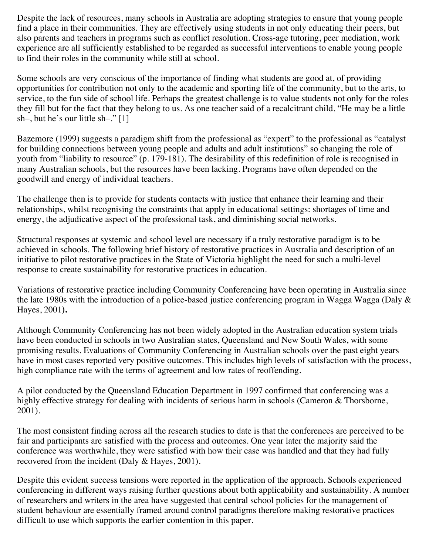Despite the lack of resources, many schools in Australia are adopting strategies to ensure that young people find a place in their communities. They are effectively using students in not only educating their peers, but also parents and teachers in programs such as conflict resolution. Cross-age tutoring, peer mediation, work experience are all sufficiently established to be regarded as successful interventions to enable young people to find their roles in the community while still at school.

Some schools are very conscious of the importance of finding what students are good at, of providing opportunities for contribution not only to the academic and sporting life of the community, but to the arts, to service, to the fun side of school life. Perhaps the greatest challenge is to value students not only for the roles they fill but for the fact that they belong to us. As one teacher said of a recalcitrant child, "He may be a little sh–, but he's our little sh–." [1]

Bazemore (1999) suggests a paradigm shift from the professional as "expert" to the professional as "catalyst for building connections between young people and adults and adult institutions" so changing the role of youth from "liability to resource" (p. 179-181). The desirability of this redefinition of role is recognised in many Australian schools, but the resources have been lacking. Programs have often depended on the goodwill and energy of individual teachers.

The challenge then is to provide for students contacts with justice that enhance their learning and their relationships, whilst recognising the constraints that apply in educational settings: shortages of time and energy, the adjudicative aspect of the professional task, and diminishing social networks.

Structural responses at systemic and school level are necessary if a truly restorative paradigm is to be achieved in schools. The following brief history of restorative practices in Australia and description of an initiative to pilot restorative practices in the State of Victoria highlight the need for such a multi-level response to create sustainability for restorative practices in education.

Variations of restorative practice including Community Conferencing have been operating in Australia since the late 1980s with the introduction of a police-based justice conferencing program in Wagga Wagga (Daly & Hayes, 2001**).**

Although Community Conferencing has not been widely adopted in the Australian education system trials have been conducted in schools in two Australian states, Queensland and New South Wales, with some promising results. Evaluations of Community Conferencing in Australian schools over the past eight years have in most cases reported very positive outcomes. This includes high levels of satisfaction with the process, high compliance rate with the terms of agreement and low rates of reoffending.

A pilot conducted by the Queensland Education Department in 1997 confirmed that conferencing was a highly effective strategy for dealing with incidents of serious harm in schools (Cameron & Thorsborne, 2001).

The most consistent finding across all the research studies to date is that the conferences are perceived to be fair and participants are satisfied with the process and outcomes. One year later the majority said the conference was worthwhile, they were satisfied with how their case was handled and that they had fully recovered from the incident (Daly & Hayes, 2001).

Despite this evident success tensions were reported in the application of the approach. Schools experienced conferencing in different ways raising further questions about both applicability and sustainability. A number of researchers and writers in the area have suggested that central school policies for the management of student behaviour are essentially framed around control paradigms therefore making restorative practices difficult to use which supports the earlier contention in this paper.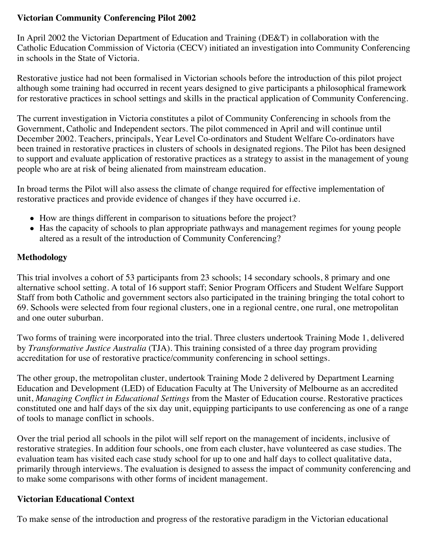### **Victorian Community Conferencing Pilot 2002**

In April 2002 the Victorian Department of Education and Training (DE&T) in collaboration with the Catholic Education Commission of Victoria (CECV) initiated an investigation into Community Conferencing in schools in the State of Victoria.

Restorative justice had not been formalised in Victorian schools before the introduction of this pilot project although some training had occurred in recent years designed to give participants a philosophical framework for restorative practices in school settings and skills in the practical application of Community Conferencing.

The current investigation in Victoria constitutes a pilot of Community Conferencing in schools from the Government, Catholic and Independent sectors. The pilot commenced in April and will continue until December 2002. Teachers, principals, Year Level Co-ordinators and Student Welfare Co-ordinators have been trained in restorative practices in clusters of schools in designated regions. The Pilot has been designed to support and evaluate application of restorative practices as a strategy to assist in the management of young people who are at risk of being alienated from mainstream education.

In broad terms the Pilot will also assess the climate of change required for effective implementation of restorative practices and provide evidence of changes if they have occurred i.e.

- How are things different in comparison to situations before the project?
- Has the capacity of schools to plan appropriate pathways and management regimes for young people altered as a result of the introduction of Community Conferencing?

### **Methodology**

This trial involves a cohort of 53 participants from 23 schools; 14 secondary schools, 8 primary and one alternative school setting. A total of 16 support staff; Senior Program Officers and Student Welfare Support Staff from both Catholic and government sectors also participated in the training bringing the total cohort to 69. Schools were selected from four regional clusters, one in a regional centre, one rural, one metropolitan and one outer suburban.

Two forms of training were incorporated into the trial. Three clusters undertook Training Mode 1, delivered by *Transformative Justice Australia* (TJA). This training consisted of a three day program providing accreditation for use of restorative practice/community conferencing in school settings.

The other group, the metropolitan cluster, undertook Training Mode 2 delivered by Department Learning Education and Development (LED) of Education Faculty at The University of Melbourne as an accredited unit, *Managing Conflict in Educational Settings* from the Master of Education course. Restorative practices constituted one and half days of the six day unit, equipping participants to use conferencing as one of a range of tools to manage conflict in schools.

Over the trial period all schools in the pilot will self report on the management of incidents, inclusive of restorative strategies. In addition four schools, one from each cluster, have volunteered as case studies. The evaluation team has visited each case study school for up to one and half days to collect qualitative data, primarily through interviews. The evaluation is designed to assess the impact of community conferencing and to make some comparisons with other forms of incident management.

#### **Victorian Educational Context**

To make sense of the introduction and progress of the restorative paradigm in the Victorian educational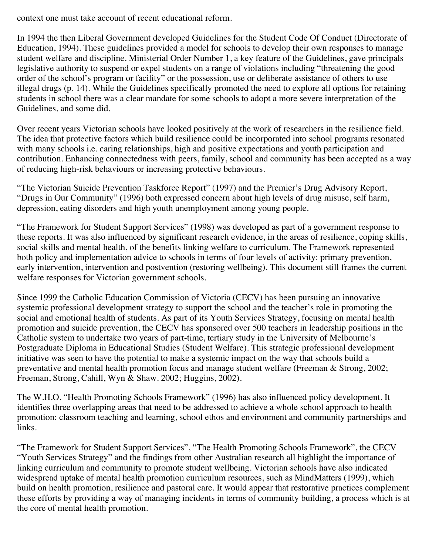context one must take account of recent educational reform.

In 1994 the then Liberal Government developed Guidelines for the Student Code Of Conduct (Directorate of Education, 1994). These guidelines provided a model for schools to develop their own responses to manage student welfare and discipline. Ministerial Order Number 1, a key feature of the Guidelines, gave principals legislative authority to suspend or expel students on a range of violations including "threatening the good order of the school's program or facility" or the possession, use or deliberate assistance of others to use illegal drugs (p. 14). While the Guidelines specifically promoted the need to explore all options for retaining students in school there was a clear mandate for some schools to adopt a more severe interpretation of the Guidelines, and some did.

Over recent years Victorian schools have looked positively at the work of researchers in the resilience field. The idea that protective factors which build resilience could be incorporated into school programs resonated with many schools i.e. caring relationships, high and positive expectations and youth participation and contribution. Enhancing connectedness with peers, family, school and community has been accepted as a way of reducing high-risk behaviours or increasing protective behaviours.

"The Victorian Suicide Prevention Taskforce Report" (1997) and the Premier's Drug Advisory Report, "Drugs in Our Community" (1996) both expressed concern about high levels of drug misuse, self harm, depression, eating disorders and high youth unemployment among young people.

"The Framework for Student Support Services" (1998) was developed as part of a government response to these reports. It was also influenced by significant research evidence, in the areas of resilience, coping skills, social skills and mental health, of the benefits linking welfare to curriculum. The Framework represented both policy and implementation advice to schools in terms of four levels of activity: primary prevention, early intervention, intervention and postvention (restoring wellbeing). This document still frames the current welfare responses for Victorian government schools.

Since 1999 the Catholic Education Commission of Victoria (CECV) has been pursuing an innovative systemic professional development strategy to support the school and the teacher's role in promoting the social and emotional health of students. As part of its Youth Services Strategy, focusing on mental health promotion and suicide prevention, the CECV has sponsored over 500 teachers in leadership positions in the Catholic system to undertake two years of part-time, tertiary study in the University of Melbourne's Postgraduate Diploma in Educational Studies (Student Welfare). This strategic professional development initiative was seen to have the potential to make a systemic impact on the way that schools build a preventative and mental health promotion focus and manage student welfare (Freeman & Strong, 2002; Freeman, Strong, Cahill, Wyn & Shaw. 2002; Huggins, 2002).

The W.H.O. "Health Promoting Schools Framework" (1996) has also influenced policy development. It identifies three overlapping areas that need to be addressed to achieve a whole school approach to health promotion: classroom teaching and learning, school ethos and environment and community partnerships and links.

"The Framework for Student Support Services", "The Health Promoting Schools Framework", the CECV "Youth Services Strategy" and the findings from other Australian research all highlight the importance of linking curriculum and community to promote student wellbeing. Victorian schools have also indicated widespread uptake of mental health promotion curriculum resources, such as MindMatters (1999), which build on health promotion, resilience and pastoral care. It would appear that restorative practices complement these efforts by providing a way of managing incidents in terms of community building, a process which is at the core of mental health promotion.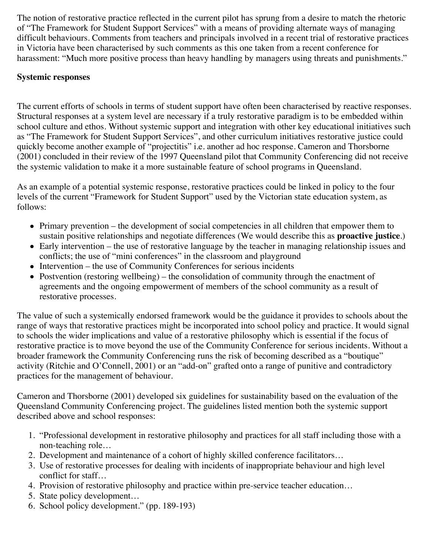The notion of restorative practice reflected in the current pilot has sprung from a desire to match the rhetoric of "The Framework for Student Support Services" with a means of providing alternate ways of managing difficult behaviours. Comments from teachers and principals involved in a recent trial of restorative practices in Victoria have been characterised by such comments as this one taken from a recent conference for harassment: "Much more positive process than heavy handling by managers using threats and punishments."

#### **Systemic responses**

The current efforts of schools in terms of student support have often been characterised by reactive responses. Structural responses at a system level are necessary if a truly restorative paradigm is to be embedded within school culture and ethos. Without systemic support and integration with other key educational initiatives such as "The Framework for Student Support Services", and other curriculum initiatives restorative justice could quickly become another example of "projectitis" i.e. another ad hoc response. Cameron and Thorsborne (2001) concluded in their review of the 1997 Queensland pilot that Community Conferencing did not receive the systemic validation to make it a more sustainable feature of school programs in Queensland.

As an example of a potential systemic response, restorative practices could be linked in policy to the four levels of the current "Framework for Student Support" used by the Victorian state education system, as follows:

- Primary prevention the development of social competencies in all children that empower them to sustain positive relationships and negotiate differences (We would describe this as **proactive justice**.)
- Early intervention the use of restorative language by the teacher in managing relationship issues and conflicts; the use of "mini conferences" in the classroom and playground
- Intervention the use of Community Conferences for serious incidents
- Postvention (restoring wellbeing) the consolidation of community through the enactment of agreements and the ongoing empowerment of members of the school community as a result of restorative processes.

The value of such a systemically endorsed framework would be the guidance it provides to schools about the range of ways that restorative practices might be incorporated into school policy and practice. It would signal to schools the wider implications and value of a restorative philosophy which is essential if the focus of restorative practice is to move beyond the use of the Community Conference for serious incidents. Without a broader framework the Community Conferencing runs the risk of becoming described as a "boutique" activity (Ritchie and O'Connell, 2001) or an "add-on" grafted onto a range of punitive and contradictory practices for the management of behaviour.

Cameron and Thorsborne (2001) developed six guidelines for sustainability based on the evaluation of the Queensland Community Conferencing project. The guidelines listed mention both the systemic support described above and school responses:

- 1. "Professional development in restorative philosophy and practices for all staff including those with a non-teaching role…
- 2. Development and maintenance of a cohort of highly skilled conference facilitators…
- 3. Use of restorative processes for dealing with incidents of inappropriate behaviour and high level conflict for staff…
- 4. Provision of restorative philosophy and practice within pre-service teacher education…
- 5. State policy development…
- 6. School policy development." (pp. 189-193)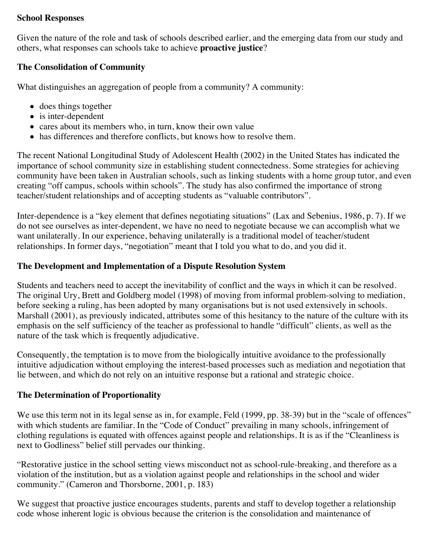#### **School Responses**

Given the nature of the role and task of schools described earlier, and the emerging data from our study and others, what responses can schools take to achieve **proactive justice**?

### **The Consolidation of Community**

What distinguishes an aggregation of people from a community? A community:

- does things together
- is inter-dependent
- cares about its members who, in turn, know their own value
- has differences and therefore conflicts, but knows how to resolve them.

The recent National Longitudinal Study of Adolescent Health (2002) in the United States has indicated the importance of school community size in establishing student connectedness. Some strategies for achieving community have been taken in Australian schools, such as linking students with a home group tutor, and even creating "off campus, schools within schools". The study has also confirmed the importance of strong teacher/student relationships and of accepting students as "valuable contributors".

Inter-dependence is a "key element that defines negotiating situations" (Lax and Sebenius, 1986, p. 7). If we do not see ourselves as inter-dependent, we have no need to negotiate because we can accomplish what we want unilaterally. In our experience, behaving unilaterally is a traditional model of teacher/student relationships. In former days, "negotiation" meant that I told you what to do, and you did it.

### **The Development and Implementation of a Dispute Resolution System**

Students and teachers need to accept the inevitability of conflict and the ways in which it can be resolved. The original Ury, Brett and Goldberg model (1998) of moving from informal problem-solving to mediation, before seeking a ruling, has been adopted by many organisations but is not used extensively in schools. Marshall (2001), as previously indicated, attributes some of this hesitancy to the nature of the culture with its emphasis on the self sufficiency of the teacher as professional to handle "difficult" clients, as well as the nature of the task which is frequently adjudicative.

Consequently, the temptation is to move from the biologically intuitive avoidance to the professionally intuitive adjudication without employing the interest-based processes such as mediation and negotiation that lie between, and which do not rely on an intuitive response but a rational and strategic choice.

#### **The Determination of Proportionality**

We use this term not in its legal sense as in, for example, Feld (1999, pp. 38-39) but in the "scale of offences" with which students are familiar. In the "Code of Conduct" prevailing in many schools, infringement of clothing regulations is equated with offences against people and relationships. It is as if the "Cleanliness is next to Godliness" belief still pervades our thinking.

"Restorative justice in the school setting views misconduct not as school-rule-breaking, and therefore as a violation of the institution, but as a violation against people and relationships in the school and wider community." (Cameron and Thorsborne, 2001, p. 183)

We suggest that proactive justice encourages students, parents and staff to develop together a relationship code whose inherent logic is obvious because the criterion is the consolidation and maintenance of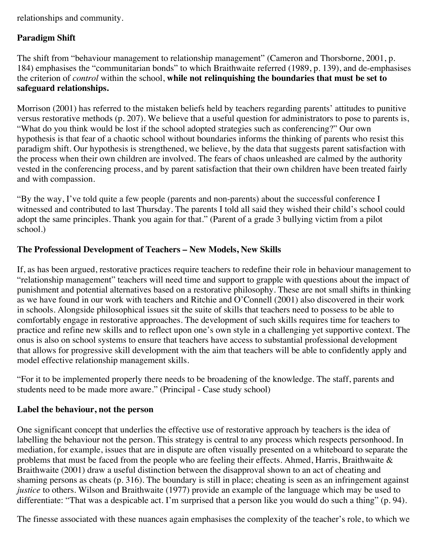relationships and community.

### **Paradigm Shift**

The shift from "behaviour management to relationship management" (Cameron and Thorsborne, 2001, p. 184) emphasises the "communitarian bonds" to which Braithwaite referred (1989, p. 139), and de-emphasises the criterion of *control* within the school, **while not relinquishing the boundaries that must be set to safeguard relationships.**

Morrison (2001) has referred to the mistaken beliefs held by teachers regarding parents' attitudes to punitive versus restorative methods (p. 207). We believe that a useful question for administrators to pose to parents is, "What do you think would be lost if the school adopted strategies such as conferencing?" Our own hypothesis is that fear of a chaotic school without boundaries informs the thinking of parents who resist this paradigm shift. Our hypothesis is strengthened, we believe, by the data that suggests parent satisfaction with the process when their own children are involved. The fears of chaos unleashed are calmed by the authority vested in the conferencing process, and by parent satisfaction that their own children have been treated fairly and with compassion.

"By the way, I've told quite a few people (parents and non-parents) about the successful conference I witnessed and contributed to last Thursday. The parents I told all said they wished their child's school could adopt the same principles. Thank you again for that." (Parent of a grade 3 bullying victim from a pilot school.)

### **The Professional Development of Teachers – New Models, New Skills**

If, as has been argued, restorative practices require teachers to redefine their role in behaviour management to "relationship management" teachers will need time and support to grapple with questions about the impact of punishment and potential alternatives based on a restorative philosophy. These are not small shifts in thinking as we have found in our work with teachers and Ritchie and  $\overline{O'C}$ onnell (2001) also discovered in their work in schools. Alongside philosophical issues sit the suite of skills that teachers need to possess to be able to comfortably engage in restorative approaches. The development of such skills requires time for teachers to practice and refine new skills and to reflect upon one's own style in a challenging yet supportive context. The onus is also on school systems to ensure that teachers have access to substantial professional development that allows for progressive skill development with the aim that teachers will be able to confidently apply and model effective relationship management skills.

"For it to be implemented properly there needs to be broadening of the knowledge. The staff, parents and students need to be made more aware." (Principal - Case study school)

#### **Label the behaviour, not the person**

One significant concept that underlies the effective use of restorative approach by teachers is the idea of labelling the behaviour not the person. This strategy is central to any process which respects personhood. In mediation, for example, issues that are in dispute are often visually presented on a whiteboard to separate the problems that must be faced from the people who are feeling their effects. Ahmed, Harris, Braithwaite & Braithwaite (2001) draw a useful distinction between the disapproval shown to an act of cheating and shaming persons as cheats (p. 316). The boundary is still in place; cheating is seen as an infringement against *justice* to others. Wilson and Braithwaite (1977) provide an example of the language which may be used to differentiate: "That was a despicable act. I'm surprised that a person like you would do such a thing" (p. 94).

The finesse associated with these nuances again emphasises the complexity of the teacher's role, to which we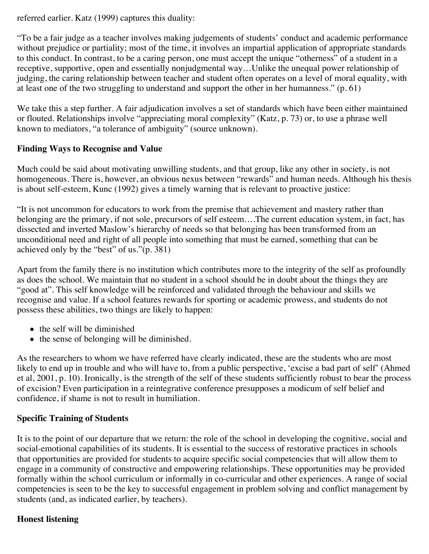referred earlier. Katz (1999) captures this duality:

"To be a fair judge as a teacher involves making judgements of students' conduct and academic performance without prejudice or partiality; most of the time, it involves an impartial application of appropriate standards to this conduct. In contrast, to be a caring person, one must accept the unique "otherness" of a student in a receptive, supportive, open and essentially nonjudgmental way…Unlike the unequal power relationship of judging, the caring relationship between teacher and student often operates on a level of moral equality, with at least one of the two struggling to understand and support the other in her humanness." (p. 61)

We take this a step further. A fair adjudication involves a set of standards which have been either maintained or flouted. Relationships involve "appreciating moral complexity" (Katz, p. 73) or, to use a phrase well known to mediators, "a tolerance of ambiguity" (source unknown).

### **Finding Ways to Recognise and Value**

Much could be said about motivating unwilling students, and that group, like any other in society, is not homogeneous. There is, however, an obvious nexus between "rewards" and human needs. Although his thesis is about self-esteem, Kunc (1992) gives a timely warning that is relevant to proactive justice:

"It is not uncommon for educators to work from the premise that achievement and mastery rather than belonging are the primary, if not sole, precursors of self esteem….The current education system, in fact, has dissected and inverted Maslow's hierarchy of needs so that belonging has been transformed from an unconditional need and right of all people into something that must be earned, something that can be achieved only by the "best" of us."(p. 381)

Apart from the family there is no institution which contributes more to the integrity of the self as profoundly as does the school. We maintain that no student in a school should be in doubt about the things they are "good at". This self knowledge will be reinforced and validated through the behaviour and skills we recognise and value. If a school features rewards for sporting or academic prowess, and students do not possess these abilities, two things are likely to happen:

- the self will be diminished
- the sense of belonging will be diminished.

As the researchers to whom we have referred have clearly indicated, these are the students who are most likely to end up in trouble and who will have to, from a public perspective, 'excise a bad part of self' (Ahmed et al, 2001, p. 10). Ironically, is the strength of the self of these students sufficiently robust to bear the process of excision? Even participation in a reintegrative conference presupposes a modicum of self belief and confidence, if shame is not to result in humiliation.

### **Specific Training of Students**

It is to the point of our departure that we return: the role of the school in developing the cognitive, social and social-emotional capabilities of its students. It is essential to the success of restorative practices in schools that opportunities are provided for students to acquire specific social competencies that will allow them to engage in a community of constructive and empowering relationships. These opportunities may be provided formally within the school curriculum or informally in co-curricular and other experiences. A range of social competencies is seen to be the key to successful engagement in problem solving and conflict management by students (and, as indicated earlier, by teachers).

### **Honest listening**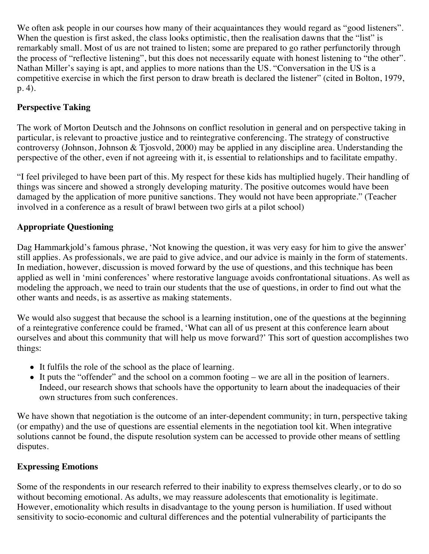We often ask people in our courses how many of their acquaintances they would regard as "good listeners". When the question is first asked, the class looks optimistic, then the realisation dawns that the "list" is remarkably small. Most of us are not trained to listen; some are prepared to go rather perfunctorily through the process of "reflective listening", but this does not necessarily equate with honest listening to "the other". Nathan Miller's saying is apt, and applies to more nations than the US. "Conversation in the US is a competitive exercise in which the first person to draw breath is declared the listener" (cited in Bolton, 1979, p. 4).

## **Perspective Taking**

The work of Morton Deutsch and the Johnsons on conflict resolution in general and on perspective taking in particular, is relevant to proactive justice and to reintegrative conferencing. The strategy of constructive controversy (Johnson, Johnson & Tjosvold, 2000) may be applied in any discipline area. Understanding the perspective of the other, even if not agreeing with it, is essential to relationships and to facilitate empathy.

"I feel privileged to have been part of this. My respect for these kids has multiplied hugely. Their handling of things was sincere and showed a strongly developing maturity. The positive outcomes would have been damaged by the application of more punitive sanctions. They would not have been appropriate." (Teacher involved in a conference as a result of brawl between two girls at a pilot school)

# **Appropriate Questioning**

Dag Hammarkjold's famous phrase, 'Not knowing the question, it was very easy for him to give the answer' still applies. As professionals, we are paid to give advice, and our advice is mainly in the form of statements. In mediation, however, discussion is moved forward by the use of questions, and this technique has been applied as well in 'mini conferences' where restorative language avoids confrontational situations. As well as modeling the approach, we need to train our students that the use of questions, in order to find out what the other wants and needs, is as assertive as making statements.

We would also suggest that because the school is a learning institution, one of the questions at the beginning of a reintegrative conference could be framed, 'What can all of us present at this conference learn about ourselves and about this community that will help us move forward?' This sort of question accomplishes two things:

- It fulfils the role of the school as the place of learning.
- It puts the "offender" and the school on a common footing we are all in the position of learners. Indeed, our research shows that schools have the opportunity to learn about the inadequacies of their own structures from such conferences.

We have shown that negotiation is the outcome of an inter-dependent community; in turn, perspective taking (or empathy) and the use of questions are essential elements in the negotiation tool kit. When integrative solutions cannot be found, the dispute resolution system can be accessed to provide other means of settling disputes.

### **Expressing Emotions**

Some of the respondents in our research referred to their inability to express themselves clearly, or to do so without becoming emotional. As adults, we may reassure adolescents that emotionality is legitimate. However, emotionality which results in disadvantage to the young person is humiliation. If used without sensitivity to socio-economic and cultural differences and the potential vulnerability of participants the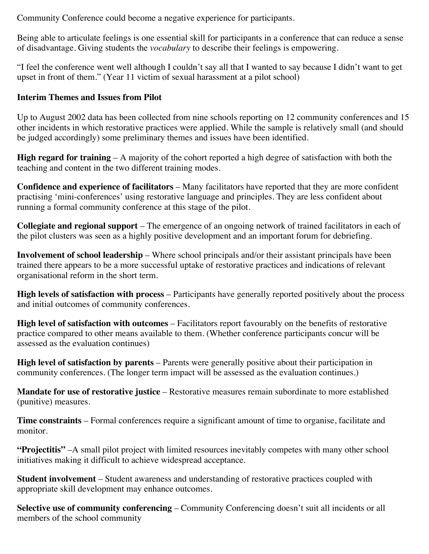Community Conference could become a negative experience for participants.

Being able to articulate feelings is one essential skill for participants in a conference that can reduce a sense of disadvantage. Giving students the *vocabulary* to describe their feelings is empowering.

"I feel the conference went well although I couldn't say all that I wanted to say because I didn't want to get upset in front of them." (Year 11 victim of sexual harassment at a pilot school)

#### **Interim Themes and Issues from Pilot**

Up to August 2002 data has been collected from nine schools reporting on 12 community conferences and 15 other incidents in which restorative practices were applied. While the sample is relatively small (and should be judged accordingly) some preliminary themes and issues have been identified.

**High regard for training** – A majority of the cohort reported a high degree of satisfaction with both the teaching and content in the two different training modes.

**Confidence and experience of facilitators** – Many facilitators have reported that they are more confident practising 'mini-conferences' using restorative language and principles. They are less confident about running a formal community conference at this stage of the pilot.

**Collegiate and regional support** – The emergence of an ongoing network of trained facilitators in each of the pilot clusters was seen as a highly positive development and an important forum for debriefing.

**Involvement of school leadership** – Where school principals and/or their assistant principals have been trained there appears to be a more successful uptake of restorative practices and indications of relevant organisational reform in the short term.

**High levels of satisfaction with process** – Participants have generally reported positively about the process and initial outcomes of community conferences.

**High level of satisfaction with outcomes** – Facilitators report favourably on the benefits of restorative practice compared to other means available to them. (Whether conference participants concur will be assessed as the evaluation continues)

**High level of satisfaction by parents** – Parents were generally positive about their participation in community conferences. (The longer term impact will be assessed as the evaluation continues.)

**Mandate for use of restorative justice** – Restorative measures remain subordinate to more established (punitive) measures.

**Time constraints** – Formal conferences require a significant amount of time to organise, facilitate and monitor.

**"Projectitis"** –A small pilot project with limited resources inevitably competes with many other school initiatives making it difficult to achieve widespread acceptance.

**Student involvement** – Student awareness and understanding of restorative practices coupled with appropriate skill development may enhance outcomes.

**Selective use of community conferencing** – Community Conferencing doesn't suit all incidents or all members of the school community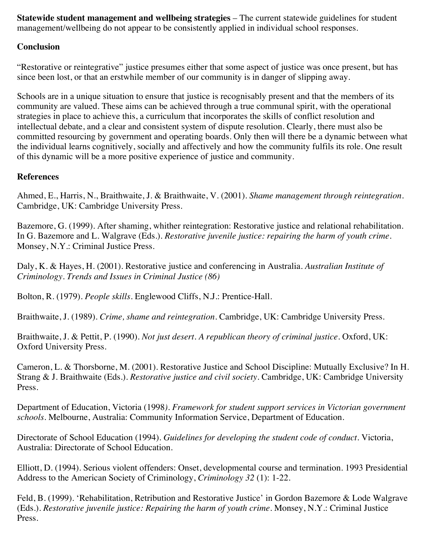**Statewide student management and wellbeing strategies** – The current statewide guidelines for student management/wellbeing do not appear to be consistently applied in individual school responses.

### **Conclusion**

"Restorative or reintegrative" justice presumes either that some aspect of justice was once present, but has since been lost, or that an erstwhile member of our community is in danger of slipping away.

Schools are in a unique situation to ensure that justice is recognisably present and that the members of its community are valued. These aims can be achieved through a true communal spirit, with the operational strategies in place to achieve this, a curriculum that incorporates the skills of conflict resolution and intellectual debate, and a clear and consistent system of dispute resolution. Clearly, there must also be committed resourcing by government and operating boards. Only then will there be a dynamic between what the individual learns cognitively, socially and affectively and how the community fulfils its role. One result of this dynamic will be a more positive experience of justice and community.

### **References**

Ahmed, E., Harris, N., Braithwaite, J. & Braithwaite, V. (2001). *Shame management through reintegration.* Cambridge, UK: Cambridge University Press.

Bazemore, G. (1999). After shaming, whither reintegration: Restorative justice and relational rehabilitation. In G. Bazemore and L. Walgrave (Eds.). *Restorative juvenile justice: repairing the harm of youth crime.* Monsey, N.Y.: Criminal Justice Press.

Daly, K. & Hayes, H. (2001). Restorative justice and conferencing in Australia. *Australian Institute of Criminology. Trends and Issues in Criminal Justice (86)*

Bolton, R. (1979). *People skills.* Englewood Cliffs, N.J.: Prentice-Hall.

Braithwaite, J. (1989). *Crime, shame and reintegration*. Cambridge, UK: Cambridge University Press.

Braithwaite, J. & Pettit, P. (1990). *Not just desert. A republican theory of criminal justice.* Oxford, UK: Oxford University Press.

Cameron, L. & Thorsborne, M. (2001). Restorative Justice and School Discipline: Mutually Exclusive? In H. Strang & J. Braithwaite (Eds.). *Restorative justice and civil society*. Cambridge, UK: Cambridge University Press.

Department of Education, Victoria (1998*). Framework for student support services in Victorian government schools.* Melbourne, Australia: Community Information Service, Department of Education.

Directorate of School Education (1994). *Guidelines for developing the student code of conduct.* Victoria, Australia: Directorate of School Education.

Elliott, D. (1994). Serious violent offenders: Onset, developmental course and termination. 1993 Presidential Address to the American Society of Criminology, *Criminology 32* (1): 1-22.

Feld, B. (1999). 'Rehabilitation, Retribution and Restorative Justice' in Gordon Bazemore & Lode Walgrave (Eds.). *Restorative juvenile justice: Repairing the harm of youth crime.* Monsey, N.Y.: Criminal Justice Press.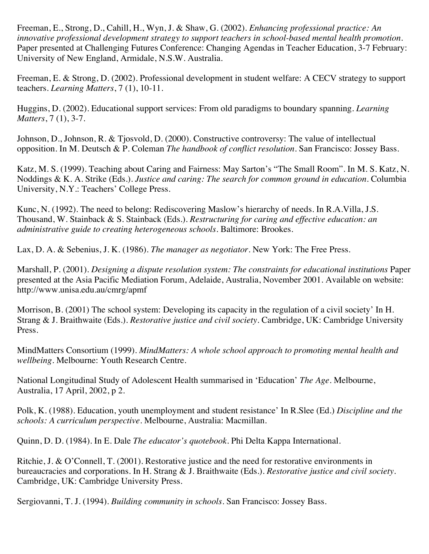Freeman, E., Strong, D., Cahill, H., Wyn, J. & Shaw, G. (2002). *Enhancing professional practice: An innovative professional development strategy to support teachers in school-based mental health promotion.* Paper presented at Challenging Futures Conference: Changing Agendas in Teacher Education, 3-7 February: University of New England, Armidale, N.S.W. Australia.

Freeman, E. & Strong, D. (2002). Professional development in student welfare: A CECV strategy to support teachers. *Learning Matters*, 7 (1), 10-11.

Huggins, D. (2002). Educational support services: From old paradigms to boundary spanning. *Learning Matters*, 7 (1), 3-7.

Johnson, D., Johnson, R. & Tjosvold, D. (2000). Constructive controversy: The value of intellectual opposition. In M. Deutsch & P. Coleman *The handbook of conflict resolution.* San Francisco: Jossey Bass.

Katz, M. S. (1999). Teaching about Caring and Fairness: May Sarton's "The Small Room". In M. S. Katz, N. Noddings & K. A. Strike (Eds.). *Justice and caring: The search for common ground in education.* Columbia University, N.Y.: Teachers' College Press.

Kunc, N. (1992). The need to belong: Rediscovering Maslow's hierarchy of needs. In R.A.Villa, J.S. Thousand, W. Stainback & S. Stainback (Eds.). *Restructuring for caring and effective education: an administrative guide to creating heterogeneous schools*. Baltimore: Brookes.

Lax, D. A. & Sebenius, J. K. (1986). *The manager as negotiator*. New York: The Free Press.

Marshall, P. (2001). *Designing a dispute resolution system: The constraints for educational institutions* Paper presented at the Asia Pacific Mediation Forum, Adelaide, Australia, November 2001. Available on website: http://www.unisa.edu.au/cmrg/apmf

Morrison, B. (2001) The school system: Developing its capacity in the regulation of a civil society' In H. Strang & J. Braithwaite (Eds.). *Restorative justice and civil society.* Cambridge, UK: Cambridge University Press.

MindMatters Consortium (1999). *MindMatters: A whole school approach to promoting mental health and wellbeing.* Melbourne: Youth Research Centre.

National Longitudinal Study of Adolescent Health summarised in 'Education' *The Age.* Melbourne, Australia, 17 April, 2002, p 2.

Polk, K. (1988). Education, youth unemployment and student resistance' In R.Slee (Ed.) *Discipline and the schools: A curriculum perspective*. Melbourne, Australia: Macmillan.

Quinn, D. D. (1984). In E. Dale *The educator's quotebook.* Phi Delta Kappa International.

Ritchie, J. & O'Connell, T. (2001). Restorative justice and the need for restorative environments in bureaucracies and corporations. In H. Strang & J. Braithwaite (Eds.). *Restorative justice and civil society.* Cambridge, UK: Cambridge University Press.

Sergiovanni, T. J. (1994). *Building community in schools*. San Francisco: Jossey Bass.